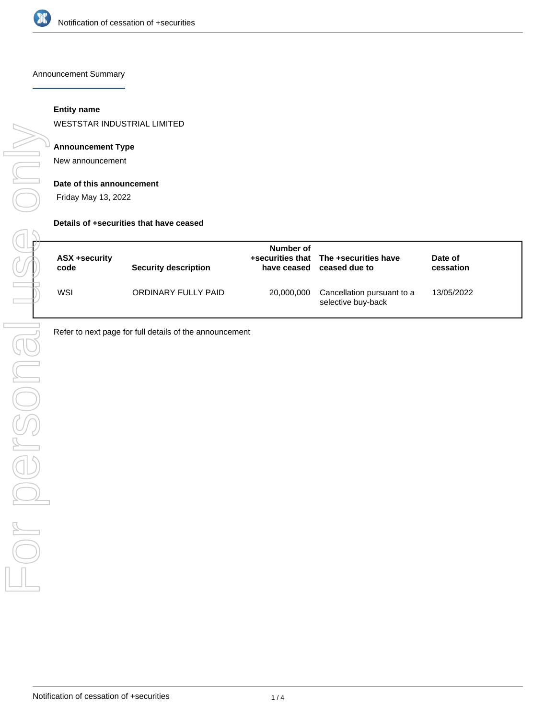

Announcement Summary

# **Entity name**

WESTSTAR INDUSTRIAL LIMITED

# **Announcement Type**

New announcement

### **Date of this announcement**

Friday May 13, 2022

### **Details of +securities that have ceased**

| ASX +security | <b>Security description</b> | Number of   | +securities that The +securities have            | Date of    |
|---------------|-----------------------------|-------------|--------------------------------------------------|------------|
| code          |                             | have ceased | ceased due to                                    | cessation  |
| WSI           | ORDINARY FULLY PAID         | 20,000,000  | Cancellation pursuant to a<br>selective buy-back | 13/05/2022 |

Refer to next page for full details of the announcement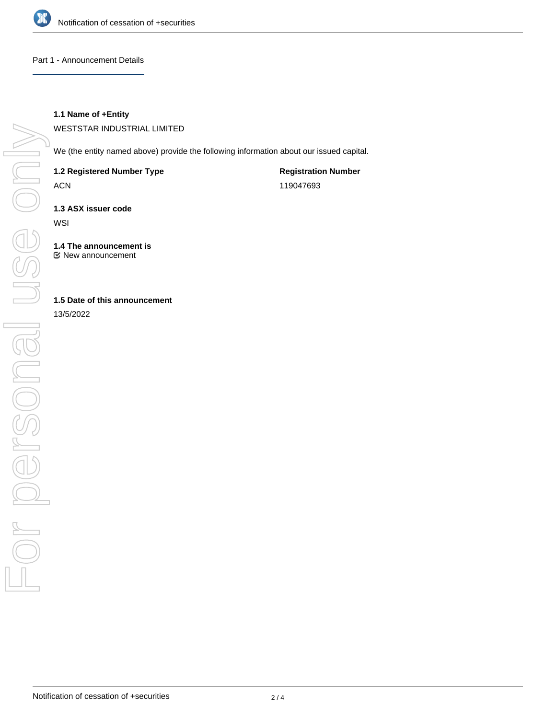

Part 1 - Announcement Details

# **1.1 Name of +Entity**

WESTSTAR INDUSTRIAL LIMITED

We (the entity named above) provide the following information about our issued capital.

**1.2 Registered Number Type**

ACN

**Registration Number** 119047693

**1.3 ASX issuer code**

**WSI** 

**1.4 The announcement is** New announcement

# **1.5 Date of this announcement**

13/5/2022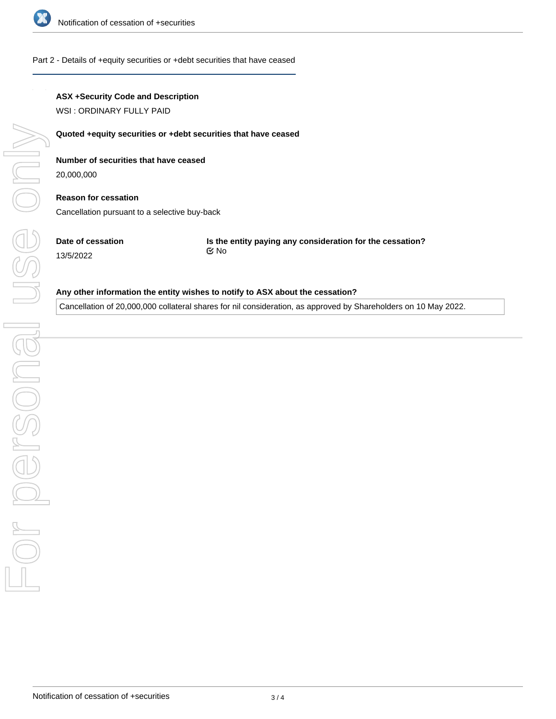

### Part 2 - Details of +equity securities or +debt securities that have ceased

## **ASX +Security Code and Description**

WSI : ORDINARY FULLY PAID

### **Quoted +equity securities or +debt securities that have ceased**

# **Number of securities that have ceased**

20,000,000

# **Reason for cessation** Cancellation pursuant to a selective buy-back

**Date of cessation** 13/5/2022

**Is the entity paying any consideration for the cessation?** No

#### **Any other information the entity wishes to notify to ASX about the cessation?**

Cancellation of 20,000,000 collateral shares for nil consideration, as approved by Shareholders on 10 May 2022.